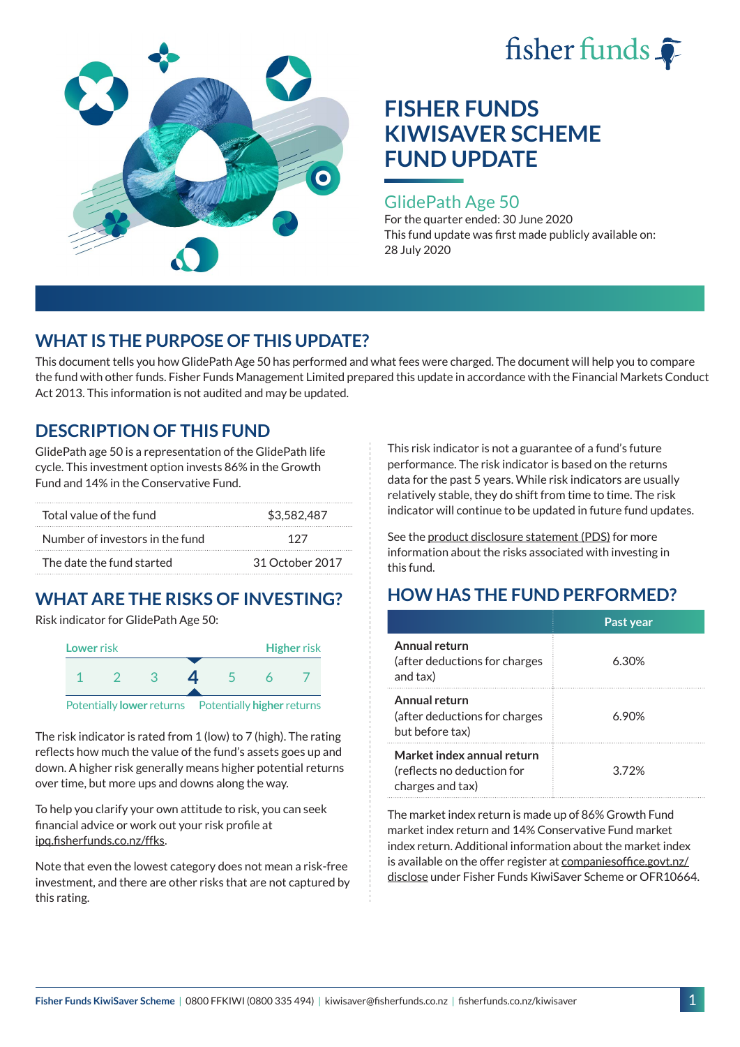



### GlidePath Age 50

For the quarter ended: 30 June 2020 This fund update was first made publicly available on: 28 July 2020

## **WHAT IS THE PURPOSE OF THIS UPDATE?**

This document tells you how GlidePath Age 50 has performed and what fees were charged. The document will help you to compare the fund with other funds. Fisher Funds Management Limited prepared this update in accordance with the Financial Markets Conduct Act 2013. This information is not audited and may be updated.

## **DESCRIPTION OF THIS FUND**

GlidePath age 50 is a representation of the GlidePath life cycle. This investment option invests 86% in the Growth Fund and 14% in the Conservative Fund.

| Total value of the fund         | \$3,582,487     |  |
|---------------------------------|-----------------|--|
| Number of investors in the fund | 197             |  |
| The date the fund started       | 31 October 2017 |  |

# **WHAT ARE THE RISKS OF INVESTING?**

Risk indicator for GlidePath Age 50:



The risk indicator is rated from 1 (low) to 7 (high). The rating reflects how much the value of the fund's assets goes up and down. A higher risk generally means higher potential returns over time, but more ups and downs along the way.

To help you clarify your own attitude to risk, you can seek financial advice or work out your risk profile at [ipq.fisherfunds.co.nz/ffks](https://ipq.fisherfunds.co.nz/ffks).

Note that even the lowest category does not mean a risk-free investment, and there are other risks that are not captured by this rating.

This risk indicator is not a guarantee of a fund's future performance. The risk indicator is based on the returns data for the past 5 years. While risk indicators are usually relatively stable, they do shift from time to time. The risk indicator will continue to be updated in future fund updates.

See the [product disclosure statement \(PDS\)](https://fisherfunds.co.nz/assets/PDS/Fisher-Funds-KiwiSaver-Scheme-PDS.pdf) for more information about the risks associated with investing in this fund.

## **HOW HAS THE FUND PERFORMED?**

|                                                                              | Past year |
|------------------------------------------------------------------------------|-----------|
| Annual return<br>(after deductions for charges<br>and tax)                   | 6.30%     |
| Annual return<br>(after deductions for charges<br>but before tax)            | 6.90%     |
| Market index annual return<br>(reflects no deduction for<br>charges and tax) | 372%      |

The market index return is made up of 86% Growth Fund market index return and 14% Conservative Fund market index return. Additional information about the market index is available on the offer register at [companiesoffice.govt.nz/](http://companiesoffice.govt.nz/disclose) [disclose](http://companiesoffice.govt.nz/disclose) under Fisher Funds KiwiSaver Scheme or OFR10664.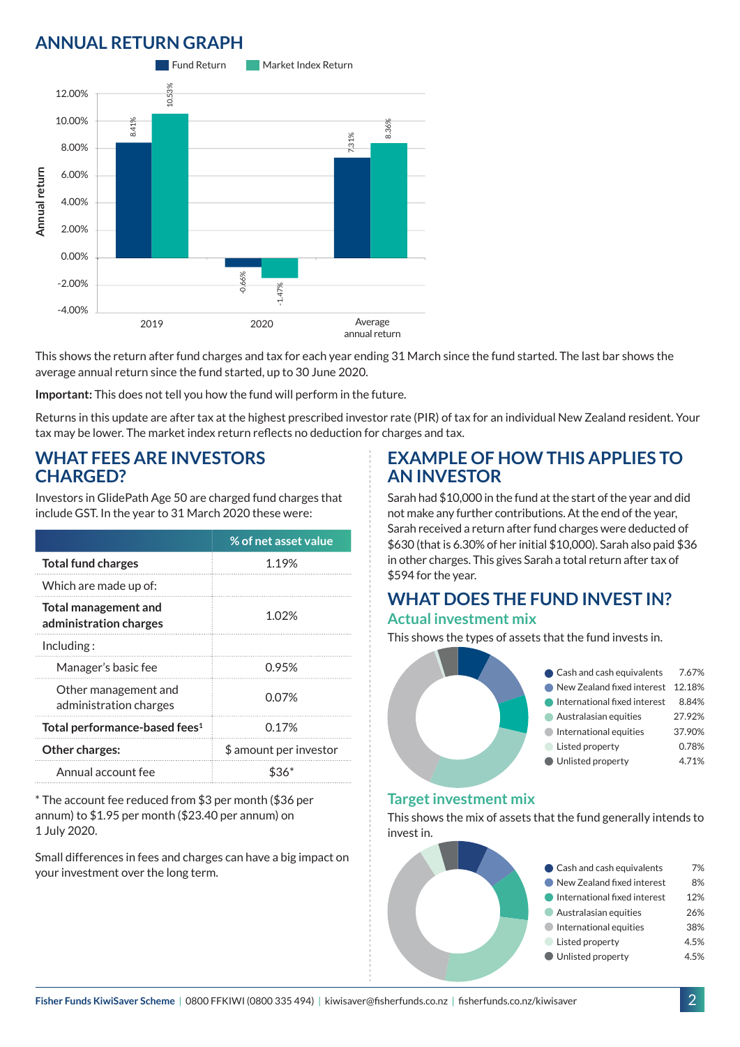## **ANNUAL RETURN GRAPH**



This shows the return after fund charges and tax for each year ending 31 March since the fund started. The last bar shows the average annual return since the fund started, up to 30 June 2020.

**Important:** This does not tell you how the fund will perform in the future.

Returns in this update are after tax at the highest prescribed investor rate (PIR) of tax for an individual New Zealand resident. Your tax may be lower. The market index return reflects no deduction for charges and tax.

### **WHAT FEES ARE INVESTORS CHARGED?**

Investors in GlidePath Age 50 are charged fund charges that include GST. In the year to 31 March 2020 these were:

|                                                       | % of net asset value   |  |
|-------------------------------------------------------|------------------------|--|
| <b>Total fund charges</b>                             | 1.19%                  |  |
| Which are made up of:                                 |                        |  |
| <b>Total management and</b><br>administration charges | 1.02%                  |  |
| Inding:                                               |                        |  |
| Manager's basic fee                                   | 0.95%                  |  |
| Other management and<br>administration charges        | 0.07%                  |  |
| Total performance-based fees <sup>1</sup>             | 0.17%                  |  |
| <b>Other charges:</b>                                 | \$ amount per investor |  |
| Annual account fee                                    |                        |  |

\* The account fee reduced from \$3 per month (\$36 per annum) to \$1.95 per month (\$23.40 per annum) on 1 July 2020.

Small differences in fees and charges can have a big impact on your investment over the long term.

### **EXAMPLE OF HOW THIS APPLIES TO AN INVESTOR**

Sarah had \$10,000 in the fund at the start of the year and did not make any further contributions. At the end of the year, Sarah received a return after fund charges were deducted of \$630 (that is 6.30% of her initial \$10,000). Sarah also paid \$36 in other charges. This gives Sarah a total return after tax of \$594 for the year.

#### **WHAT DOES THE FUND INVEST IN? Actual investment mix**

This shows the types of assets that the fund invests in.



#### **Target investment mix**

This shows the mix of assets that the fund generally intends to invest in.